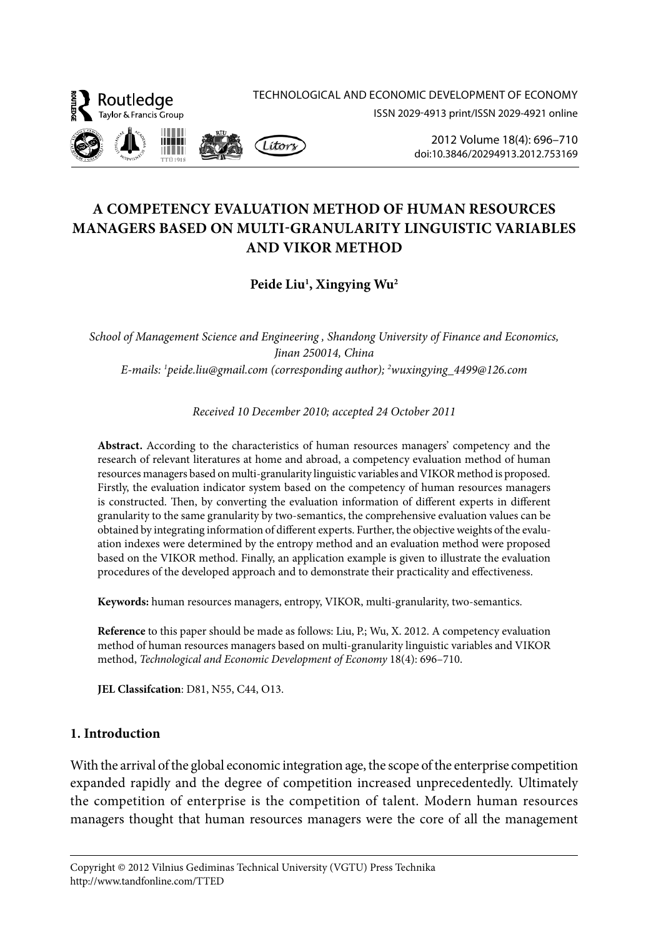

Technological and economic development OF ECONOMY ISSN 2029-4913 print/ISSN 2029-4921 online

> 2012 Volume 18(4): 696–710 [doi:10.3846/20294913.2012.753169](http://dx.doi.org/10.3846/20294913.2012.753169)

# **A COMPETENCY EVALUATION METHOD OF HUMAN RESOURCES MANAGERS BASED ON MULTI-GRANULARITY LINGUISTIC VARIABLES AND VIKOR METHOD**

# **Peide Liu1 , Xingying Wu2**

*School of Management Science and Engineering , Shandong University of Finance and Economics, Jinan 250014, China E-mails: 1 peide.liu@gmail.com (corresponding author); 2 wuxingying\_4499@126.com*

*Received 10 December 2010; accepted 24 October 2011*

**Abstract.** According to the characteristics of human resources managers' competency and the research of relevant literatures at home and abroad, a competency evaluation method of human resources managers based on multi-granularity linguistic variables and VIKOR method is proposed. Firstly, the evaluation indicator system based on the competency of human resources managers is constructed. Then, by converting the evaluation information of different experts in different granularity to the same granularity by two-semantics, the comprehensive evaluation values can be obtained by integrating information of different experts. Further, the objective weights of the evaluation indexes were determined by the entropy method and an evaluation method were proposed based on the VIKOR method. Finally, an application example is given to illustrate the evaluation procedures of the developed approach and to demonstrate their practicality and effectiveness.

**Keywords:** human resources managers, entropy, VIKOR, multi-granularity, two-semantics.

**Reference** to this paper should be made as follows: Liu, P.; Wu, X. 2012. A competency evaluation method of human resources managers based on multi-granularity linguistic variables and VIKOR method, *Technological and Economic Development of Economy* 18(4): 696–710.

**JEL Classifcation**: D81, N55, C44, O13.

# **1. Introduction**

With the arrival of the global economic integration age, the scope of the enterprise competition expanded rapidly and the degree of competition increased unprecedentedly. Ultimately the competition of enterprise is the competition of talent. Modern human resources managers thought that human resources managers were the core of all the management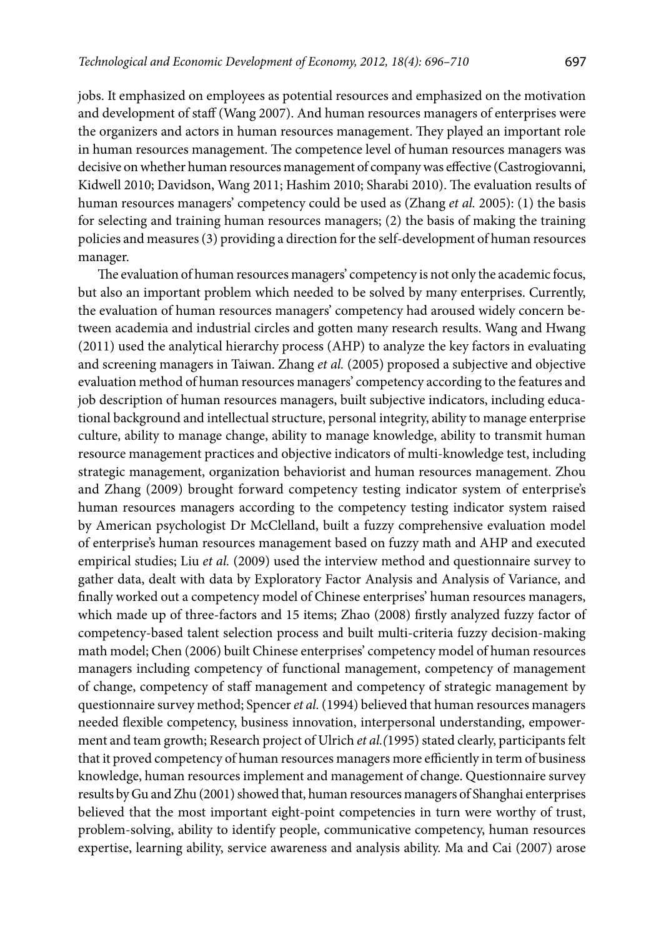jobs. It emphasized on employees as potential resources and emphasized on the motivation and development of staff (Wang 2007). And human resources managers of enterprises were the organizers and actors in human resources management. They played an important role in human resources management. The competence level of human resources managers was decisive on whether human resources management of company was effective (Castrogiovanni, Kidwell 2010; Davidson, Wang 2011; [Hashim](file:///E:/LEIDYKLA/Zurnalai/Technological_TTED/TTED_18_4_2012/Tekstai/Mano/javascript:__doLinkPostBack() 2010; Sharabi 2010). The evaluation results of human resources managers' competency could be used as (Zhang *et al.* 2005): (1) the basis for selecting and training human resources managers; (2) the basis of making the training policies and measures (3) providing a direction for the self-development of human resources manager.

The evaluation of human resources managers' competency is not only the academic focus, but also an important problem which needed to be solved by many enterprises. Currently, the evaluation of human resources managers' competency had aroused widely concern between academia and industrial circles and gotten many research results. Wang and Hwang (2011) used the analytical hierarchy process (AHP) to analyze the key factors in evaluating and screening managers in Taiwan. Zhang *et al.* (2005) proposed a subjective and objective evaluation method of human resources managers' competency according to the features and job description of human resources managers, built subjective indicators, including educational background and intellectual structure, personal integrity, ability to manage enterprise culture, ability to manage change, ability to manage knowledge, ability to transmit human resource management practices and objective indicators of multi-knowledge test, including strategic management, organization behaviorist and human resources management. Zhou and Zhang (2009) brought forward competency testing indicator system of enterprise's human resources managers according to the competency testing indicator system raised by American psychologist Dr McClelland, built a fuzzy comprehensive evaluation model of enterprise's human resources management based on fuzzy math and AHP and executed empirical studies; Liu *et al.* (2009) used the interview method and questionnaire survey to gather data, dealt with data by Exploratory Factor Analysis and Analysis of Variance, and finally worked out a competency model of Chinese enterprises' human resources managers, which made up of three-factors and 15 items; Zhao (2008) firstly analyzed fuzzy factor of competency-based talent selection process and built multi-criteria fuzzy decision-making math model; Chen (2006) built Chinese enterprises' competency model of human resources managers including competency of functional management, competency of management of change, competency of staff management and competency of strategic management by questionnaire survey method; Spencer *et al.* (1994) believed that human resources managers needed flexible competency, business innovation, interpersonal understanding, empowerment and team growth; Research project of Ulrich *et al.(*1995) stated clearly, participants felt that it proved competency of human resources managers more efficiently in term of business knowledge, human resources implement and management of change. Questionnaire survey results by Gu and Zhu (2001) showed that, human resources managers of Shanghai enterprises believed that the most important eight-point competencies in turn were worthy of trust, problem-solving, ability to identify people, communicative competency, human resources expertise, learning ability, service awareness and analysis ability. Ma and Cai (2007) arose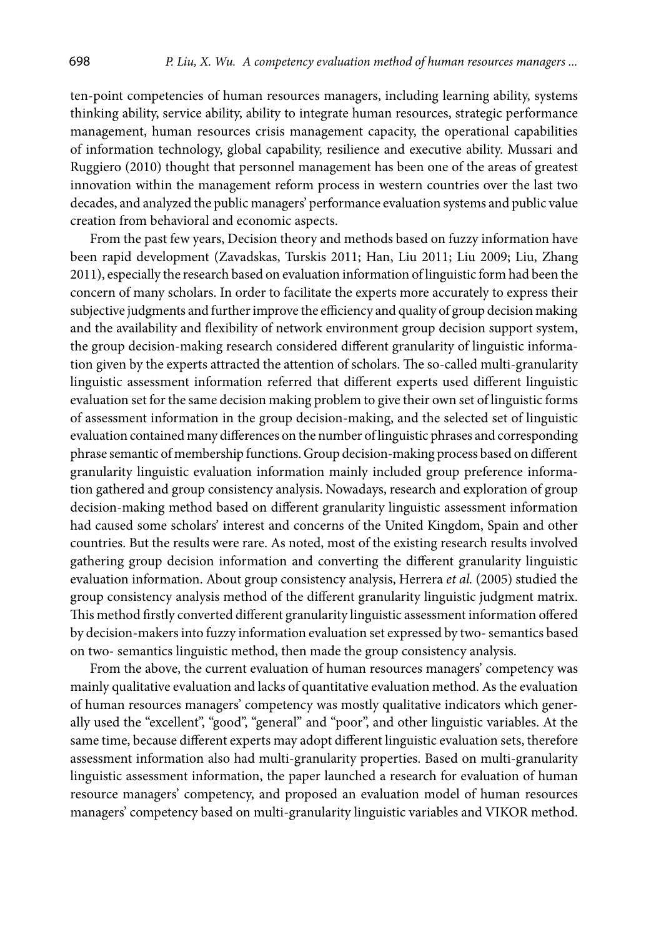ten-point competencies of human resources managers, including learning ability, systems thinking ability, service ability, ability to integrate human resources, strategic performance management, human resources crisis management capacity, the operational capabilities of information technology, global capability, resilience and executive ability. Mussari and Ruggiero (2010) thought that personnel management has been one of the areas of greatest innovation within the management reform process in western countries over the last two decades, and analyzed the public managers' performance evaluation systems and public value creation from behavioral and economic aspects.

From the past few years, Decision theory and methods based on fuzzy information have been rapid development (Zavadskas, Turskis 2011; Han, Liu 2011; Liu 2009; Liu, Zhang 2011), especially the research based on evaluation information of linguistic form had been the concern of many scholars. In order to facilitate the experts more accurately to express their subjective judgments and further improve the efficiency and quality of group decision making and the availability and flexibility of network environment group decision support system, the group decision-making research considered different granularity of linguistic information given by the experts attracted the attention of scholars. The so-called multi-granularity linguistic assessment information referred that different experts used different linguistic evaluation set for the same decision making problem to give their own set of linguistic forms of assessment information in the group decision-making, and the selected set of linguistic evaluation contained many differences on the number of linguistic phrases and corresponding phrase semantic of membership functions. Group decision-making process based on different granularity linguistic evaluation information mainly included group preference information gathered and group consistency analysis. Nowadays, research and exploration of group decision-making method based on different granularity linguistic assessment information had caused some scholars' interest and concerns of the United Kingdom, Spain and other countries. But the results were rare. As noted, most of the existing research results involved gathering group decision information and converting the different granularity linguistic evaluation information. About group consistency analysis, Herrera *et al.* (2005) studied the group consistency analysis method of the different granularity linguistic judgment matrix. This method firstly converted different granularity linguistic assessment information offered by decision-makers into fuzzy information evaluation set expressed by two- semantics based on two- semantics linguistic method, then made the group consistency analysis.

From the above, the current evaluation of human resources managers' competency was mainly qualitative evaluation and lacks of quantitative evaluation method. As the evaluation of human resources managers' competency was mostly qualitative indicators which generally used the "excellent", "good", "general" and "poor", and other linguistic variables. At the same time, because different experts may adopt different linguistic evaluation sets, therefore assessment information also had multi-granularity properties. Based on multi-granularity linguistic assessment information, the paper launched a research for evaluation of human resource managers' competency, and proposed an evaluation model of human resources managers' competency based on multi-granularity linguistic variables and VIKOR method.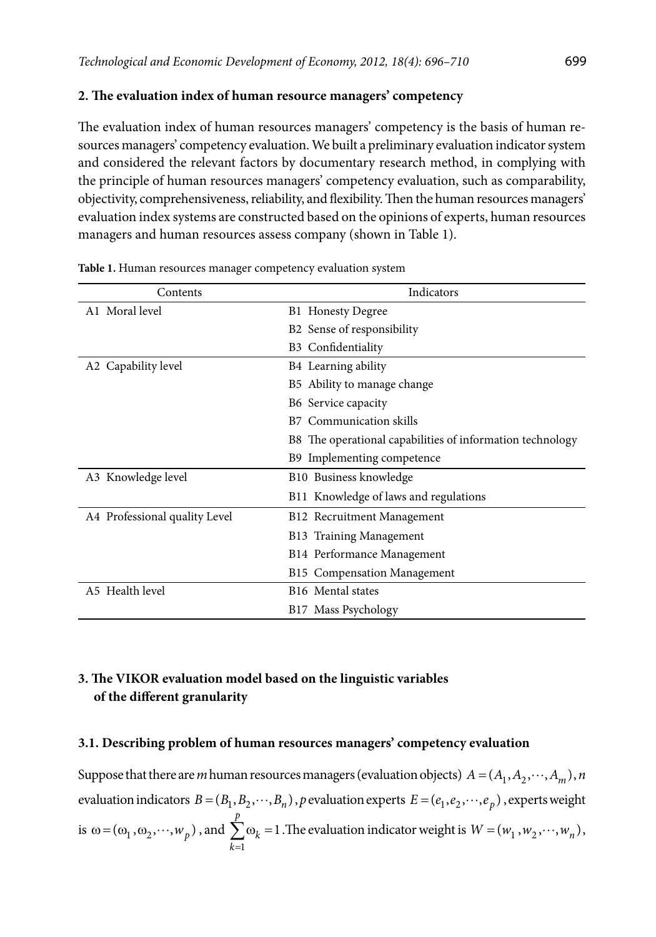# **2. The evaluation index of human resource managers' competency**

The evaluation index of human resources managers' competency is the basis of human resources managers' competency evaluation. We built a preliminary evaluation indicator system and considered the relevant factors by documentary research method, in complying with the principle of human resources managers' competency evaluation, such as comparability, objectivity, comprehensiveness, reliability, and flexibility. Then the human resources managers' evaluation index systems are constructed based on the opinions of experts, human resources managers and human resources assess company (shown in Table 1).

| Contents                      | Indicators                                                |
|-------------------------------|-----------------------------------------------------------|
| A1 Moral level                | <b>B1</b> Honesty Degree                                  |
|                               | B <sub>2</sub> Sense of responsibility                    |
|                               | B <sub>3</sub> Confidentiality                            |
| A2 Capability level           | B4 Learning ability                                       |
|                               | B5 Ability to manage change                               |
|                               | B6 Service capacity                                       |
|                               | B7 Communication skills                                   |
|                               | B8 The operational capabilities of information technology |
|                               | B9 Implementing competence                                |
| A3 Knowledge level            | B <sub>10</sub> Business knowledge                        |
|                               | B11 Knowledge of laws and regulations                     |
| A4 Professional quality Level | B12 Recruitment Management                                |
|                               | B13 Training Management                                   |
|                               | B14 Performance Management                                |
|                               | B15 Compensation Management                               |
| A5 Health level               | B <sub>16</sub> Mental states                             |
|                               | B17 Mass Psychology                                       |

**Table 1.** Human resources manager competency evaluation system

# **3. The VIKOR evaluation model based on the linguistic variables of the different granularity**

# **3.1. Describing problem of human resources managers' competency evaluation**

Suppose that there are *m* human resources managers (evaluation objects)  $A = (A_1, A_2, \dots, A_m)$ , *n* evaluation indicators  $B = (B_1, B_2, \dots, B_n)$ , p evaluation experts  $E = (e_1, e_2, \dots, e_p)$ , experts weight is  $\omega = (\omega_1, \omega_2, \cdots, \omega_p)$ , and 1 1 *p*  $\sum_{k=1}^{\infty}$  $\sum \omega_k = 1$ . The evaluation indicator weight is  $W = (w_1, w_2, \dots, w_n)$ ,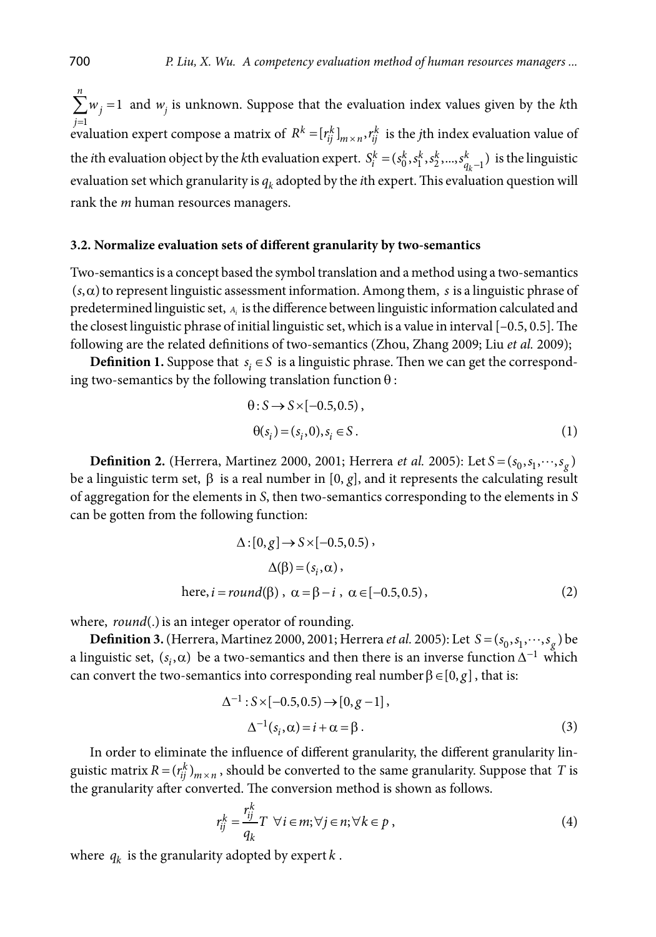*j*=1 evaluation expert [compose](http://www.iciba.com/compose/) a matrix of  $R^k = [r_{ij}^k]_{m \times n}$ ,  $r_{ij}^k$  is the *j*th index evaluation value of 1 *n*  $\sum w_j = 1$  and  $w_j$  is unknown. Suppose that the evaluation index values given by the *k*th the *i*th evaluation object by the *k*th evaluation expert.  $S_i^k = (s_0^k, s_1^k, s_2^k, ..., s_{q_k-1}^k)$  is the linguistic evaluation set which granularity is  $q_k$  adopted by the *i*th expert. This evaluation question will rank the *m* human resources managers.

## **3.2. Normalize evaluation sets of different granularity by two-semantics**

Two-semantics is a concept based the symbol translation and a method using a two-semantics  $(s, \alpha)$  to represent linguistic assessment information. Among them, *s* is a linguistic phrase of predetermined linguistic set, *Ai* is the difference between linguistic information calculated and the closest linguistic phrase of initial linguistic set, which is a value in interval [–0.5, 0.5]. The following are the related definitions of two-semantics (Zhou, Zhang 2009; Liu *et al.* 2009);

**Definition 1.** Suppose that  $s_i \in S$  is a linguistic phrase. Then we can get the corresponding two-semantics by the following translation function  $\theta$ :

$$
\theta: S \to S \times [-0.5, 0.5),
$$
  
\n
$$
\theta(s_i) = (s_i, 0), s_i \in S.
$$
\n(1)

**Definition 2.** (Herrera, Martinez 2000, 2001; Herrera *et al.* 2005): Let  $S = (s_0, s_1, \dots, s_g)$ be a linguistic term set, β is a real number in [0, *g*], and it represents the calculating result of aggregation for the elements in *S*, then two-semantics corresponding to the elements in *S* can be gotten from the following function:

$$
\Delta: [0, g] \to S \times [-0.5, 0.5),
$$
  
\n
$$
\Delta(\beta) = (s_i, \alpha),
$$
  
\nhere,  $i = round(\beta), \alpha = \beta - i, \alpha \in [-0.5, 0.5),$  (2)

where, *round*(.) is an integer operator of rounding.

**Definition 3.** (Herrera, Martinez 2000, 2001; Herrera *et al.* 2005): Let  $S = (s_0, s_1, \dots, s_g)$  be a linguistic set,  $(s_i, \alpha)$  be a two-semantics and then there is an inverse function  $\Delta^{-1}$  which can convert the two-semantics into corresponding real number  $\beta \in [0, g]$ , that is:

$$
\Delta^{-1}: S \times [-0.5, 0.5) \to [0, g - 1], \n\Delta^{-1}(s_i, \alpha) = i + \alpha = \beta.
$$
\n(3)

In order to eliminate the influence of different granularity, the different granularity linguistic matrix  $R = (r_{ij}^k)_{m \times n}$ , should be converted to the same granularity. Suppose that *T* is the granularity after converted. The conversion method is shown as follows.

$$
r_{ij}^k = \frac{r_{ij}^k}{q_k} T \quad \forall i \in m; \forall j \in n; \forall k \in p ,
$$
 (4)

where  $q_k$  is the granularity adopted by expert  $k$  .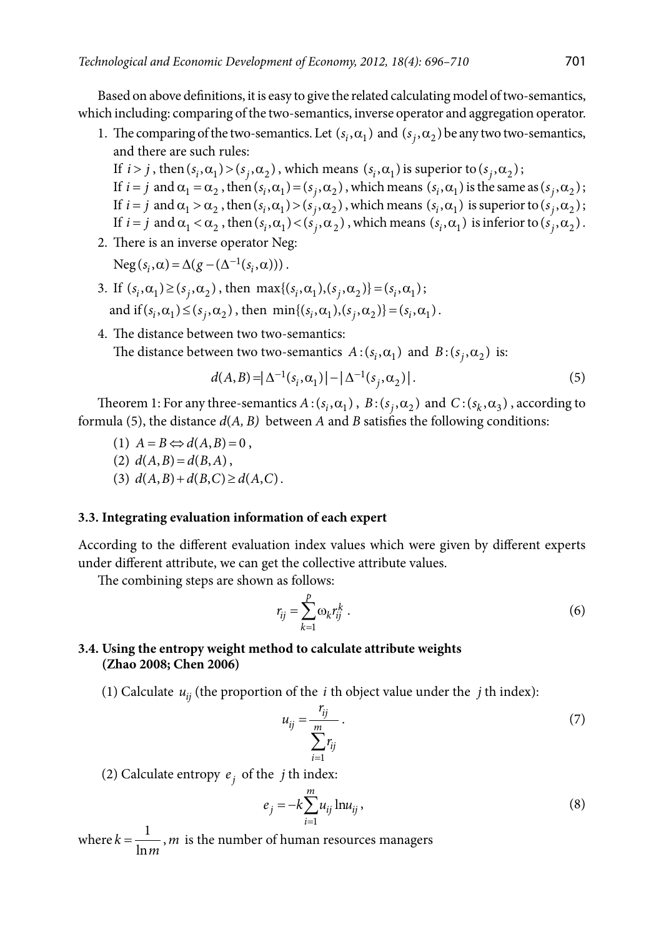Based on above definitions, it is easy to give the related calculating model of two-semantics, which including: comparing of the two-semantics, inverse operator and aggregation operator.

1. The comparing of the two-semantics. Let  $(s_i, \alpha_1)$  and  $(s_i, \alpha_2)$  be any two two-semantics, and there are such rules:

If  $i > j$ , then  $(s_i, \alpha_1) > (s_i, \alpha_2)$ , which means  $(s_i, \alpha_1)$  is superior to  $(s_i, \alpha_2)$ ;

- If  $i = j$  and  $\alpha_1 = \alpha_2$ , then  $(s_i, \alpha_1) = (s_i, \alpha_2)$ , which means  $(s_i, \alpha_1)$  is the same as  $(s_i, \alpha_2)$ ;
- If  $i = j$  and  $\alpha_1 > \alpha_2$ , then  $(s_i, \alpha_1) > (s_i, \alpha_2)$ , which means  $(s_i, \alpha_1)$  is superior to  $(s_i, \alpha_2)$ ;
- If  $i = j$  and  $\alpha_1 < \alpha_2$ , then  $(s_i, \alpha_1) < (s_i, \alpha_2)$ , which means  $(s_i, \alpha_1)$  is inferior to  $(s_i, \alpha_2)$ .
- 2. There is an inverse operator Neg:

 $\text{Neg}(s_i, \alpha) = \Delta(g - (\Delta^{-1}(s_i, \alpha)))$ .

- 3. If  $(s_i, \alpha_1) \geq (s_i, \alpha_2)$ , then max $\{(s_i, \alpha_1), (s_i, \alpha_2)\} = (s_i, \alpha_1)$ ; and if  $(s_i, \alpha_1) \leq (s_i, \alpha_2)$ , then  $\min\{(s_i, \alpha_1), (s_i, \alpha_2)\} = (s_i, \alpha_1)$ .
- 4. The distance between two two-semantics: The distance between two two-semantics  $A : (s_i, \alpha_1)$  and  $B : (s_i, \alpha_2)$  is:

$$
d(A, B) = |\Delta^{-1}(s_i, \alpha_1)| - |\Delta^{-1}(s_j, \alpha_2)|.
$$
 (5)

Theorem 1: For any three-semantics  $A:(s_i, \alpha_1)$ ,  $B:(s_i, \alpha_2)$  and  $C:(s_k, \alpha_3)$ , according to formula (5), the distance *d*(*A, B)* between *A* and *B* satisfies the following conditions:

- $(1)$   $A = B \Leftrightarrow d(A, B) = 0$ ,
- $(2)$   $d(A, B) = d(B, A)$ ,
- $(3)$   $d(A, B) + d(B, C) \ge d(A, C)$ .

#### **3.3. Integrating evaluation information of each expert**

According to the different evaluation index values which were given by different experts under different attribute, we can get the collective attribute values.

The combining steps are shown as follows:

$$
r_{ij} = \sum_{k=1}^{p} \omega_k r_{ij}^k \tag{6}
$$

# **3.4. Using the entropy weight method to calculate attribute weights (Zhao 2008; Chen 2006)**

(1) Calculate  $u_{ij}$  (the proportion of the *i* th object value under the *j* th index):

$$
u_{ij} = \frac{r_{ij}}{\sum_{i=1}^{m} r_{ij}}.
$$
\n
$$
(7)
$$

(2) Calculate entropy  $e_i$  of the *j* th index:

$$
e_j = -k \sum_{i=1}^{m} u_{ij} \ln u_{ij},
$$
\n(8)

where  $k = \frac{1}{\ln m}$ , *m* is the number of human resources managers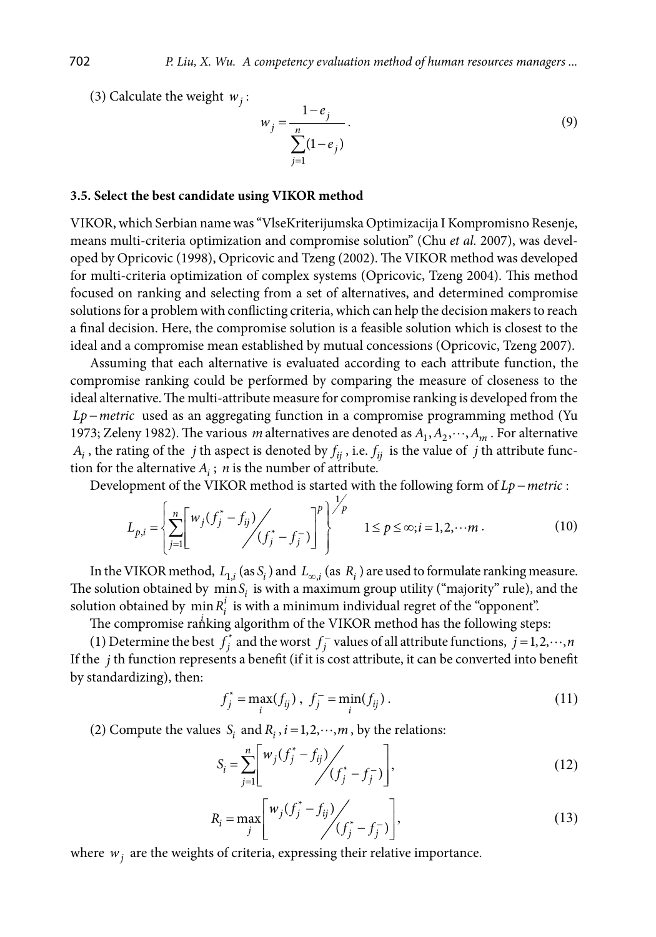(3) Calculate the weight  $w_i$ :

$$
w_j = \frac{1 - e_j}{\sum_{j=1}^{n} (1 - e_j)}.
$$
\n(9)

## **3.5. Select the best candidate using VIKOR method**

VIKOR, which Serbian name was "VlseKriterijumska Optimizacija I Kompromisno Resenje, means multi-criteria optimization and compromise solution" (Chu *et al.* 2007), was developed by Opricovic (1998), Opricovic and Tzeng (2002). The VIKOR method was developed for multi-criteria optimization of complex systems (Opricovic, Tzeng 2004). This method focused on ranking and selecting from a set of alternatives, and determined compromise solutions for a problem with conflicting criteria, which can help the decision makers to reach a final decision. Here, the compromise solution is a feasible solution which is closest to the ideal and a compromise mean established by mutual concessions (Opricovic, Tzeng 2007).

Assuming that each alternative is evaluated according to each attribute function, the compromise ranking could be performed by comparing the measure of closeness to the ideal alternative. The multi-attribute measure for compromise ranking is developed from the *Lp – metric* used as an aggregating function in a compromise programming method (Yu 1973; Zeleny 1982). The various *m* alternatives are denoted as  $A_1, A_2, \dots, A_m$ . For alternative  $A_i$ , the rating of the *j* th aspect is denoted by  $f_{ii}$ , i.e.  $f_{ii}$  is the value of *j* th attribute function for the alternative  $A_i$ ;  $n$  is the number of attribute.

Development of the VIKOR method is started with the following form of *Lp* – metric :

$$
L_{p,i} = \left\{ \sum_{j=1}^{n} \left[ \begin{array}{c} w_j(f_j^* - f_{ij}) \\ f_j^* - f_{j}^* \end{array} \right] \right\}^{p} \right\}^{1/p} \qquad 1 \le p \le \infty; i = 1, 2, \cdots m. \tag{10}
$$

In the VIKOR method,  $L_{1,i}$  (as  $S_i$ ) and  $L_{\infty,i}$  (as  $R_i$ ) are used to formulate ranking measure. The solution obtained by  $\min S_i$  is with a maximum group utility ("majority" rule), and the solution obtained by  $\min P^i$  is with a minimum individual regret of the "ennonent" solution obtained by  $\min R_i^i$  is with a minimum individual regret of the "opponent".<br>The compromise raphling algorithm of the VIKOP method has the following stat

The compromise ranking algorithm of the VIKOR method has the following steps:

(1) Determine the best  $f_j^*$  and the worst  $f_j^-$  values of all attribute functions,  $j = 1, 2, \dots, n$ If the *j* th function represents a benefit (if it is cost attribute, it can be converted into benefit by standardizing), then:

$$
f_j^* = \max_i(f_{ij}), \ f_j^- = \min_i(f_{ij}). \tag{11}
$$

(2) Compute the values  $S_i$  and  $R_i$ ,  $i = 1, 2, \dots, m$ , by the relations:

$$
S_i = \sum_{j=1}^{n} \left[ \frac{w_j (f_j^* - f_{ij})}{(f_j^* - f_j^-)} \right],
$$
\n(12)

$$
R_{i} = \max_{j} \left[ \frac{w_{j}(f_{j}^{*} - f_{ij})}{\sqrt{(f_{j}^{*} - f_{j}^{-})}} \right],
$$
\n(13)

where  $w_i$  are the weights of criteria, expressing their relative importance.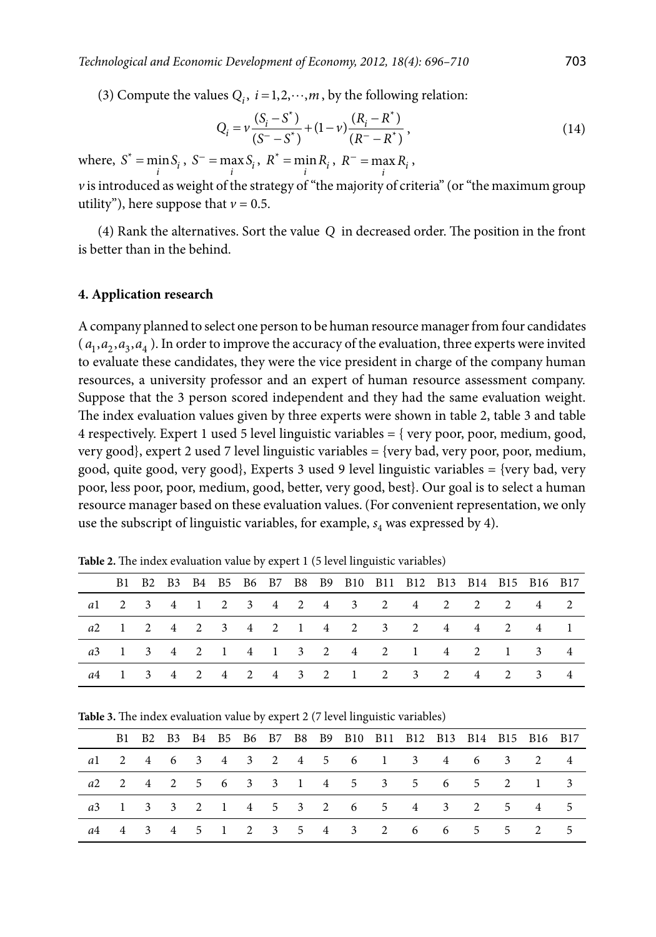(3) Compute the values  $Q_i$ ,  $i = 1, 2, \dots, m$ , by the following relation:

$$
Q_i = \nu \frac{(S_i - S^*)}{(S^- - S^*)} + (1 - \nu) \frac{(R_i - R^*)}{(R^- - R^*)},
$$
\n(14)

where,  $S^* = \min_i S_i$ ,  $S^- = \max_i S_i$ ,  $R^* = \min_i R_i$ ,  $R^- = \max_i R_i$ ,

*v* is introduced as weight of the strategy of "the majority of criteria" (or "the maximum group utility"), here suppose that  $v = 0.5$ .

(4) Rank the alternatives. Sort the value *Q* in decreased order. The position in the front is better than in the behind.

# **4. Application research**

A company planned to select one person to be human resource manager from four candidates  $(a_1, a_1, a_2, a_4)$ . In order to improve the accuracy of the evaluation, three experts were invited to evaluate these candidates, they were the vice president in charge of the company human resources, a university professor and an expert of human resource assessment company. Suppose that the 3 person scored independent and they had the same evaluation weight. The index evaluation values given by three experts were shown in table 2, table 3 and table 4 respectively. Expert 1 used 5 level linguistic variables = { very poor, poor, medium, good, very good}, expert 2 used 7 level linguistic variables = {very bad, very poor, poor, medium, good, quite good, very good}, Experts 3 used 9 level linguistic variables = {very bad, very poor, less poor, poor, medium, good, better, very good, best}. Our goal is to select a human resource manager based on these evaluation values. (For convenient representation, we only use the subscript of linguistic variables, for example,  $s_4$  was expressed by 4).

|                                                                                        |  |  |  |  |  |  |  | B1 B2 B3 B4 B5 B6 B7 B8 B9 B10 B11 B12 B13 B14 B15 B16 B17 |  |
|----------------------------------------------------------------------------------------|--|--|--|--|--|--|--|------------------------------------------------------------|--|
| 4 $2$ $3$ $4$ $1$ $2$ $3$ $4$ $2$ $4$ $3$ $2$ $4$ $2$ $2$ $2$ $4$ $2$                  |  |  |  |  |  |  |  |                                                            |  |
| a 2 1 2 4 2 3 4 2 1 4 2 3 2 4 4 2 4 1                                                  |  |  |  |  |  |  |  |                                                            |  |
| 43 1 3 4 2 1 4 1 3 2 4 2 1 4 2 1 3 4                                                   |  |  |  |  |  |  |  |                                                            |  |
| 4    1    3    4    2    4    2    4    3    2    1    2    3    2    4    2    3    4 |  |  |  |  |  |  |  |                                                            |  |

**Table 2.** The index evaluation value by expert 1 (5 level linguistic variables)

**Table 3.** The index evaluation value by expert 2 (7 level linguistic variables)

|                                       |  |  |  |  |  |  |  | B1 B2 B3 B4 B5 B6 B7 B8 B9 B10 B11 B12 B13 B14 B15 B16 B17 |  |
|---------------------------------------|--|--|--|--|--|--|--|------------------------------------------------------------|--|
| al 2 4 6 3 4 3 2 4 5 6 1 3 4 6 3 2 4  |  |  |  |  |  |  |  |                                                            |  |
| a 2 2 4 2 5 6 3 3 1 4 5 3 5 6 5 2 1 3 |  |  |  |  |  |  |  |                                                            |  |
| 43 1 3 3 2 1 4 5 3 2 6 5 4 3 2 5 4 5  |  |  |  |  |  |  |  |                                                            |  |
|                                       |  |  |  |  |  |  |  | 44 4 3 4 5 1 2 3 5 4 3 2 6 6 5 5 2 5                       |  |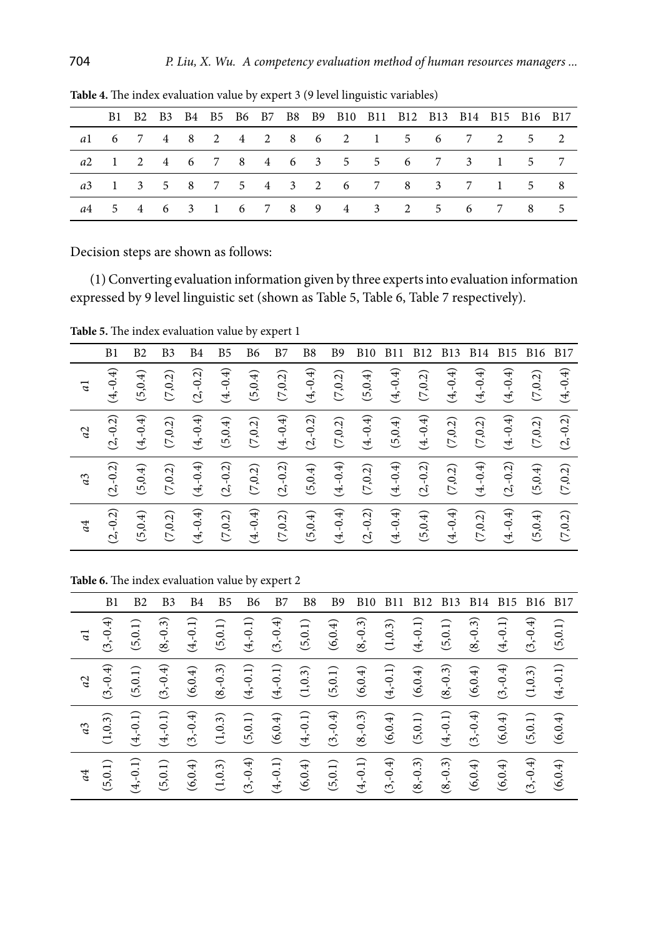|                                       |  |  |  |  |  | B1 B2 B3 B4 B5 B6 B7 B8 B9 B10 B11 B12 B13 B14 B15 B16 B17            |  |  |  |
|---------------------------------------|--|--|--|--|--|-----------------------------------------------------------------------|--|--|--|
| al 6 7 4 8 2 4 2 8 6 2 1 5 6 7 2 5 2  |  |  |  |  |  |                                                                       |  |  |  |
| a 2 1 2 4 6 7 8 4 6 3 5 5 6 7 3 1 5 7 |  |  |  |  |  |                                                                       |  |  |  |
| 43 1 3 5 8 7 5 4 3 2 6 7 8 3 7 1 5 8  |  |  |  |  |  |                                                                       |  |  |  |
|                                       |  |  |  |  |  | 4   5   4   6   3   1   6   7   8   9   4   3   2   5   6   7   8   5 |  |  |  |

**Table 4.** The index evaluation value by expert 3 (9 level linguistic variables)

Decision steps are shown as follows:

(1) Converting evaluation information given by three experts into evaluation information expressed by 9 level linguistic set (shown as Table 5, Table 6, Table 7 respectively).

**Table 5.** The index evaluation value by expert 1

|                | B <sub>1</sub> | B2          | B3       | B4          | B5          | <b>B6</b>   | B7          | B <sub>8</sub> | <b>B9</b>   | <b>B10</b>  | <b>B11</b>  | <b>B12</b>  | <b>B13</b>  | <b>B14</b>  | <b>B15</b>  | <b>B16</b> | <b>B17</b>  |
|----------------|----------------|-------------|----------|-------------|-------------|-------------|-------------|----------------|-------------|-------------|-------------|-------------|-------------|-------------|-------------|------------|-------------|
| $\overline{a}$ | $(4, -0.4)$    | (5, 0.4)    | (7, 0.2) | $(2,-0.2)$  | $(4. -0.4)$ | (5, 0.4)    | (7, 0.2)    | $(4, -0.4)$    | (7, 0.2)    | (5, 0.4)    | $(4, -0.4)$ | (7, 0.2)    | $(4, -0.4)$ | $(4, -0.4)$ | $(4, -0.4)$ | (7, 0.2)   | $(4, -0.4)$ |
| a2             | $(2,-0.2)$     | $(4, -0.4)$ | (7, 0.2) | $(4,-0.4)$  | (5, 0.4)    | (7, 0.2)    | $(4. -0.4)$ | $(2,-0.2)$     | (7, 0.2)    | $(4. -0.4)$ | (5, 0.4)    | $(4. -0.4)$ | (7, 0.2)    | (7, 0.2)    | $(4. -0.4)$ | (7, 0.2)   | $(2,-0.2)$  |
| $\mathcal{G}$  | $(2,-0.2)$     | (5, 0.4)    | (7, 0.2) | $(4, -0.4)$ | $(2,-0.2)$  | (7, 0.2)    | $(2,-0.2)$  | (5, 0.4)       | $(4. -0.4)$ | (7, 0.2)    | $(4. -0.4)$ | $(2,-0.2)$  | (7, 0.2)    | $(4. -0.4)$ | $(2,-0.2)$  | (5, 0.4)   | (7, 0.2)    |
| a4             | $(2, -0.2)$    | (5, 0.4)    | (7, 0.2) | $(4, -0.4)$ | (7, 0.2)    | $(4. -0.4)$ | (7, 0.2)    | (5, 0.4)       | (4.0.4)     | $(2,-0.2)$  | $(4. -0.4)$ | (5, 0.4)    | $(4. -0.4)$ | (7, 0.2)    | $(4. -0.4)$ | (5, 0.4)   | (7, 0.2)    |

**Table 6.** The index evaluation value by expert 2

|                | B <sub>1</sub> | B2          | B3          | B4          | B <sub>5</sub> | <b>B6</b>   | B7          | B <sub>8</sub> | B <sub>9</sub> | <b>B10</b>  | <b>B11</b>  | <b>B12</b>  | <b>B13</b>  | <b>B14</b>  | <b>B15</b>  | <b>B16</b> | <b>B17</b>  |
|----------------|----------------|-------------|-------------|-------------|----------------|-------------|-------------|----------------|----------------|-------------|-------------|-------------|-------------|-------------|-------------|------------|-------------|
| $\overline{a}$ | $(3,-0.4)$     | (5, 0.1)    | $(8, -0.3)$ | $(4, -0.1)$ | (5, 0.1)       | $(4, -0.1)$ | $(3,-0.4)$  | (5, 0.1)       | (6, 0.4)       | $(8, -0.3)$ | (1, 0.3)    | $(4, -0.1)$ | (5, 0.1)    | $(8, -0.3)$ | $(4, -0.1)$ | $(3,-0.4)$ | (5, 0.1)    |
| a2             | $(3,-0.4)$     | (5, 0.1)    | $(3,-0.4)$  | (6, 0.4)    | $(8, -0.3)$    | $(4, -0.1)$ | $(4, -0.1)$ | (1, 0.3)       | (5, 0.1)       | (6, 0.4)    | $(4, -0.1)$ | (6, 0.4)    | $(8, -0.3)$ | (6, 0.4)    | $(3,-0.4)$  | (1, 0.3)   | $(4, -0.1)$ |
| $a_3$          | (1, 0.3)       | $(4, -0.1)$ | $(4, -0.1)$ | $(3,-0.4)$  | (1, 0.3)       | (5, 0.1)    | (6, 0.4)    | $(4, -0.1)$    | $(3,-0.4)$     | $(8,-0.3)$  | (6, 0.4)    | (5, 0.1)    | $(4,-0.1)$  | $(3,-0.4)$  | (6, 0.4)    | (5, 0.1)   | (6, 0.4)    |
| a4             | (5, 0.1)       | $(4,-0.1)$  | (5, 0.1)    | (6, 0.4)    | (1, 0.3)       | $(3,-0.4)$  | $(4, -0.1)$ | (6, 0.4)       | (5, 0.1)       | $(4, -0.1)$ | $(3,-0.4)$  | $(8,-0.3)$  | $(8,-0.3)$  | (6, 0.4)    | (6, 0.4)    | $(3,-0.4)$ | (6, 0.4)    |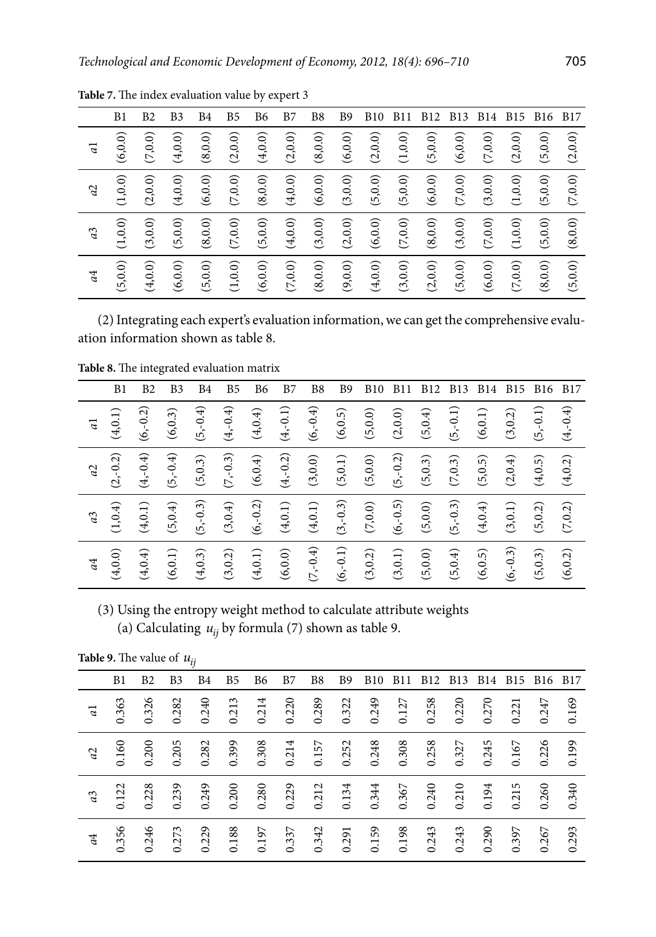|                | B1       | B2       | B3       | B4       | B5       | B6       | B7       | B8       | B9       | <b>B10</b> | <b>B11</b>            | <b>B12</b> | <b>B13</b> | <b>B14</b> | <b>B15</b> | <b>B16</b> | <b>B17</b> |
|----------------|----------|----------|----------|----------|----------|----------|----------|----------|----------|------------|-----------------------|------------|------------|------------|------------|------------|------------|
| $\overline{a}$ | (6, 0.0) | (7, 0.0) | (4, 0.0) | (8, 0.0) | (2, 0.0) | (4, 0.0) | (2, 0.0) | (8, 0.0) | (6, 0.0) | (2, 0.0)   | $\left( 1,0.0\right)$ | (5, 0.0)   | (6, 0.0)   | (7, 0.0)   | (2, 0.0)   | (5, 0.0)   | (2, 0.0)   |
| a <sub>2</sub> | (1, 0.0) | (2, 0.0) | (4, 0.0) | (6, 0.0) | (7, 0.0) | (8, 0.0) | (4, 0.0) | (6, 0.0) | (3, 0.0) | (5, 0.0)   | (5, 0.0)              | (6, 0.0)   | (7, 0.0)   | (3, 0.0)   | $(1,0.0)$  | (5, 0.0)   | (7, 0.0)   |
| a <sup>3</sup> | (1, 0.0) | (3, 0.0) | (5, 0.0) | (8, 0.0) | (7, 0.0) | (5, 0.0) | (4, 0.0) | (3, 0.0) | (2, 0.0) | (6, 0.0)   | (7, 0.0)              | (8, 0.0)   | (3, 0.0)   | (7, 0.0)   | (1, 0.0)   | (5, 0.0)   | (8, 0.0)   |
| a4             | (5, 0.0) | (4, 0.0) | (6, 0.0) | (5, 0.0) | (1, 0.0) | (6, 0.0) | (7, 0.0) | (8, 0.0) | (9, 0.0) | (4, 0.0)   | (3, 0.0)              | (2, 0.0)   | (5, 0.0)   | (6, 0.0)   | (7, 0.0)   | (8, 0.0)   | (5, 0.0)   |

**Table 7.** The index evaluation value by expert 3

(2) Integrating each expert's evaluation information, we can get the comprehensive evaluation information shown as table 8.

**Table 8.** The integrated evaluation matrix

|                | B <sub>1</sub> | B2          | B3          | <b>B4</b>   | B5          | B6          | B7          | B8          | B9         | <b>B10</b> | <b>B11</b>  | <b>B12</b> | <b>B13</b> | <b>B14</b> | <b>B15</b> | <b>B16</b> | <b>B17</b>  |
|----------------|----------------|-------------|-------------|-------------|-------------|-------------|-------------|-------------|------------|------------|-------------|------------|------------|------------|------------|------------|-------------|
| $\overline{a}$ | (4, 0.1)       | $(6, -0.2)$ | (6, 0.3)    | $(5, -0.4)$ | $(4, -0.4)$ | (4, 0.4)    | $(4, -0.1)$ | $(6, -0.4)$ | (6, 0.5)   | (5, 0.0)   | (2, 0.0)    | (5, 0.4)   | $(5,-0.1)$ | (6, 0.1)   | (3, 0.2)   | $(5,-0.1)$ | $(4, -0.4)$ |
| a2             | $(2,-0.2)$     | $(4, -0.4)$ | $(5, -0.4)$ | (5, 0.3)    | $(7,-0.3)$  | (6, 0.4)    | $(4, -0.2)$ | (3, 0.0)    | (5, 0.1)   | (5, 0.0)   | $(5,-0.2)$  | (5, 0.3)   | (7, 0.3)   | (5, 0.5)   | (2, 0.4)   | (4, 0.5)   | (4, 0.2)    |
| a <sub>3</sub> | (1, 0.4)       | (4, 0.1)    | (5, 0.4)    | $(5,-0.3)$  | (3, 0.4)    | $(6, -0.2)$ | (4, 0.1)    | (4, 0.1)    | $(3,-0.3)$ | $(7,0.0)$  | $(6, -0.5)$ | (5, 0.0)   | $(5,-0.3)$ | (4, 0.4)   | (3, 0.1)   | (5, 0.2)   | (7, 0.2)    |
| a4             | (4, 0.0)       | (4, 0.4)    | (6, 0.1)    | (4, 0.3)    | (3, 0.2)    | (4, 0.1)    | (6, 0.0)    | $(7,-0.4)$  | $(6,-0.1)$ | (3, 0.2)   | (3, 0.1)    | (5, 0.0)   | (5, 0.4)   | (6, 0.5)   | $(6,-0.3)$ | (5, 0.3)   | (6, 0.2)    |

(3) Using the entropy weight method to calculate attribute weights (a) Calculating  $u_{ij}$  by formula (7) shown as table 9.

**Table 9.** The value of  $u_{ij}$ 

|                | B <sub>1</sub> | <b>B2</b> | B <sub>3</sub> | B4    | B5    | <b>B6</b> | B7    | B8    | B9    | <b>B10</b> | <b>B11</b> | <b>B12</b> | <b>B13</b> | <b>B14</b> | <b>B</b> 15 | B16   | B17   |
|----------------|----------------|-----------|----------------|-------|-------|-----------|-------|-------|-------|------------|------------|------------|------------|------------|-------------|-------|-------|
| $\overline{a}$ | 0.363          | 0.326     | 0.282          | 0.240 | 0.213 | 0.214     | 0.220 | 0.289 | 0.322 | 0.249      | 0.127      | 0.258      | 0.220      | 0.270      | 0.221       | 0.247 | 0.169 |
| a2             | 0.160          | 0.200     | 0.205          | 0.282 | 0.399 | 0.308     | 0.214 | 0.157 | 0.252 | 0.248      | 0.308      | 0.258      | 0.327      | 0.245      | $0.167\,$   | 0.226 | 0.199 |
| $a3$           | 0.122          | 0.228     | 0.239          | 0.249 | 0.200 | 0.280     | 0.229 | 0.212 | 0.134 | 0.344      | 0.367      | 0.240      | 0.210      | 0.194      | 0.215       | 0.260 | 0.340 |
| a4             | 0.356          | 0.246     | 0.273          | 0.229 | 0.188 | 0.197     | 0.337 | 0.342 | 0.291 | 0.159      | 0.198      | 0.243      | 0.243      | 0.290      | 0.397       | 0.267 | 0.293 |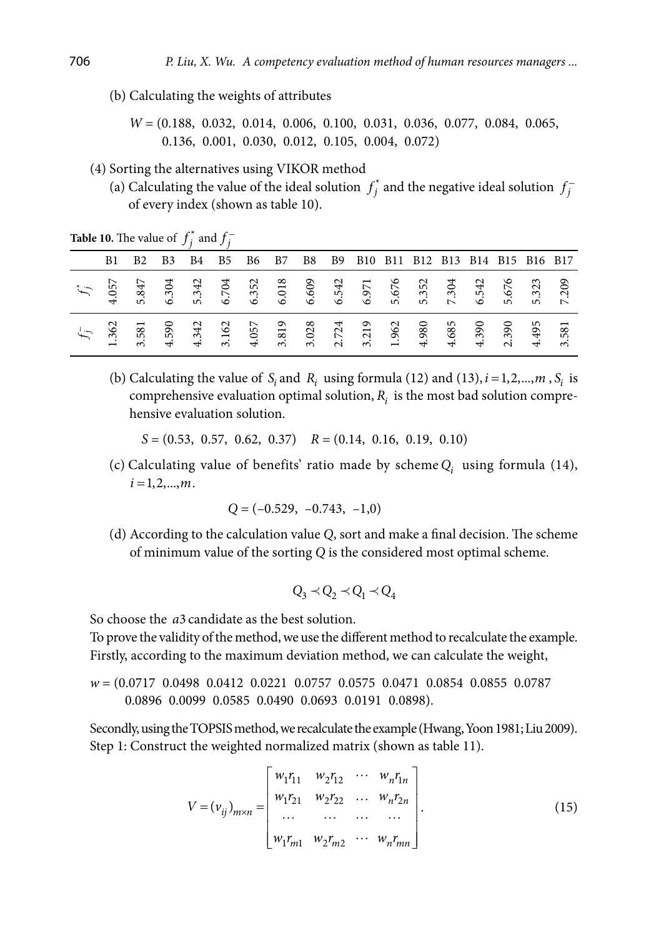(b) Calculating the weights of attributes

*W* = (0.188, 0.032, 0.014, 0.006, 0.100, 0.031, 0.036, 0.077, 0.084, 0.065, 0.136, 0.001, 0.030, 0.012, 0.105, 0.004, 0.072)

- (4) Sorting the alternatives using VIKOR method
	- (a) Calculating the value of the ideal solution  $f_j^*$  and the negative ideal solution  $f_j^$ of every index (shown as table 10).

**Table 10.** The value of  $f_j^*$  and  $f_j^-$ 

|         | B1                              | B <sub>2</sub> | B3              | B4                | B5             | В6              | B7            | B8               | B <sub>9</sub>       | <b>B10</b>     | <b>B11</b>                       | B12 B13     |                        | B14             | B15 B16 B17            |                 |                 |
|---------|---------------------------------|----------------|-----------------|-------------------|----------------|-----------------|---------------|------------------|----------------------|----------------|----------------------------------|-------------|------------------------|-----------------|------------------------|-----------------|-----------------|
| $f_j^*$ | 4.057                           | 5.847          | .304<br>$\circ$ | 342<br>$\sqrt{2}$ | 6.704          | .352<br>$\circ$ | 6.018         | 6.609            | 6.542                | 6.971          | .676<br>$\overline{5}$           | .352<br>LO. | .304<br>$\overline{ }$ | .542<br>$\circ$ | .676<br>$\overline{5}$ | 323<br>$\Omega$ | 209<br>$\sim$   |
|         | 362<br>$\overline{\phantom{0}}$ | .581<br>$\sim$ | 4.590           | 342<br>₹          | .162<br>$\sim$ | 057<br>4        | 819<br>$\sim$ | .028<br>$\infty$ | .724<br>$\mathbf{a}$ | .219<br>$\sim$ | .962<br>$\overline{\phantom{0}}$ | 4.980       | 4.685                  | 4.390           | 2.390                  | 495<br>ښ        | 581<br>$\infty$ |

(b) Calculating the value of *S*, and *R*, using formula (12) and (13),  $i = 1, 2, ..., m$ , *S*, is comprehensive evaluation optimal solution,  $R_i$  is the most bad solution comprehensive evaluation solution.

*S* = (0.53, 0.57, 0.62, 0.37) *R* = (0.14, 0.16, 0.19, 0.10)

(c) Calculating value of benefits' ratio made by scheme *Qi* using formula (14),  $i = 1, 2, ..., m$ .

$$
Q = (-0.529, -0.743, -1, 0)
$$

(d) According to the calculation value *Q*, sort and make a final decision. The scheme of minimum value of the sorting *Q* is the considered most optimal scheme.

$$
Q_3 \prec Q_2 \prec Q_1 \prec Q_4
$$

So choose the *a*3 candidate as the best solution.

To prove the validity of the method, we use the different method to recalculate the example. Firstly, according to the maximum deviation method, we can calculate the weight,

*w* = (0.0717 0.0498 0.0412 0.0221 0.0757 0.0575 0.0471 0.0854 0.0855 0.0787 0.0896 0.0099 0.0585 0.0490 0.0693 0.0191 0.0898).

Secondly, using the TOPSIS method, we recalculate the example (Hwang, Yoon 1981; Liu 2009). Step 1: Construct the weighted normalized matrix (shown as table 11).

$$
V = (v_{ij})_{m \times n} = \begin{bmatrix} w_1 r_{11} & w_2 r_{12} & \cdots & w_n r_{1n} \\ w_1 r_{21} & w_2 r_{22} & \cdots & w_n r_{2n} \\ \cdots & \cdots & \cdots & \cdots \\ w_1 r_{m1} & w_2 r_{m2} & \cdots & w_n r_{mn} \end{bmatrix}.
$$
 (15)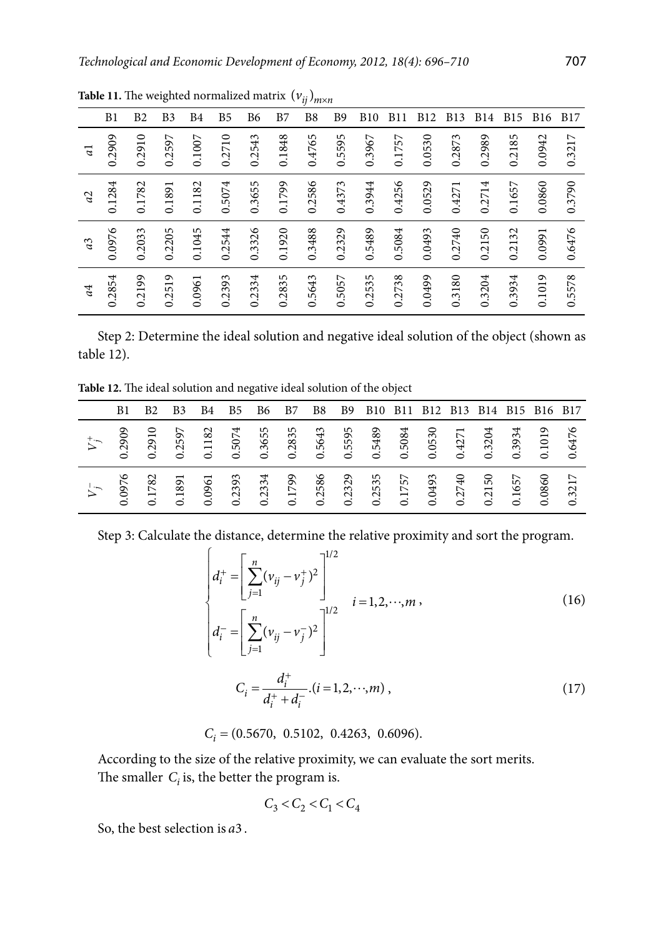|                |                |                |        |        |                |           |        | ◞      |                |            |            |            |            |            |            |            |            |
|----------------|----------------|----------------|--------|--------|----------------|-----------|--------|--------|----------------|------------|------------|------------|------------|------------|------------|------------|------------|
|                | B <sub>1</sub> | B <sub>2</sub> | B3     | B4     | B <sub>5</sub> | <b>B6</b> | B7     | B8     | B <sub>9</sub> | <b>B10</b> | <b>B11</b> | <b>B12</b> | <b>B13</b> | <b>B14</b> | <b>B15</b> | <b>B16</b> | <b>B17</b> |
| $\overline{a}$ | 0.2909         | 0.2910         | 0.2597 | 0.1007 | 0.2710         | 0.2543    | 0.1848 | 0.4765 | 0.5595         | 0.3967     | 0.1757     | 0.0530     | 0.2873     | 0.2989     | 0.2185     | 0.0942     | 0.3217     |
| a2             | 0.1284         | 0.1782         | 0.1891 | 0.1182 | 0.5074         | 0.3655    | 0.1799 | 0.2586 | 0.4373         | 0.3944     | 0.4256     | 0.0529     | 0.4271     | 0.2714     | 0.1657     | 0.0860     | 0.3790     |
| $\mathcal{G}$  | 0.0976         | 0.2033         | 0.2205 | 0.1045 | 0.2544         | 0.3326    | 0.1920 | 0.3488 | 0.2329         | 0.5489     | 0.5084     | 0.0493     | 0.2740     | 0.2150     | 0.2132     | 0.0991     | 0.6476     |
| a4             | 0.2854         | 0.2199         | 0.2519 | 0.0961 | 0.2393         | 0.2334    | 0.2835 | 0.5643 | 0.5057         | 0.2535     | 0.2738     | 0.0499     | 0.3180     | 0.3204     | 0.3934     | 0.1019     | 0.5578     |

**Table 11.** The weighted normalized matrix  $(v_{ij})_{m \times n}$ 

Step 2: Determine the ideal solution and negative ideal solution of the object (shown as table 12).

**Table 12.** The ideal solution and negative ideal solution of the object

| B1     | B <sub>2</sub> | B3                           | B4                       | B5                                           | В6                          | B7                                                   | B8                       | B9                                     | <b>B10</b>                    | <b>B11</b>                             | <b>B12</b> | <b>B13</b>            | <b>B14</b>                | <b>B</b> 15                            | B16                    | B17                                             |
|--------|----------------|------------------------------|--------------------------|----------------------------------------------|-----------------------------|------------------------------------------------------|--------------------------|----------------------------------------|-------------------------------|----------------------------------------|------------|-----------------------|---------------------------|----------------------------------------|------------------------|-------------------------------------------------|
| 0.2909 | 2910<br>ö      | 57<br>m<br>$\mathbf{C}$<br>ö | 82<br>Ë<br>$\dot{\circ}$ | 5074<br>ö                                    | 55<br>36.<br>ö              | 35<br>28<br>ö                                        | 5643<br>ö                | 5595<br>ö                              | 5489<br>C.                    | 5084<br>$\dot{\circ}$                  | 0.0530     | 0.4271                | 3204<br>$\dot{\circ}$     | 34<br>39<br>$\dot{\circ}$              | 1019<br>$\dot{\circ}$  | ৩<br>647<br>ö                                   |
| 0.0976 | 1782<br>ö      | 1891<br>C.                   | 0961<br>$\dot{\circ}$    | $\Im$<br>$\sim$<br>$\mathbf{\tilde{c}}$<br>ö | 34<br>$\sim$<br>$\sim$<br>ö | ஜ<br>$\overline{ }$<br>$\overline{\phantom{0}}$<br>ö | 586<br>$\mathbf{C}$<br>ö | $\mathcal{S}$<br>$\sim$<br>$\sim$<br>ö | 35<br>5<br>$\mathbf{C}$<br>c. | 57<br>$\overline{17}$<br>$\dot{\circ}$ | 0493<br>ö  | 2740<br>$\dot{\circ}$ | S<br>$\overline{21}$<br>ö | 57<br>$\overline{16}$<br>$\dot{\circ}$ | 0860<br>$\ddot{\circ}$ | $\overline{L}$<br>$\overline{\mathcal{Z}}$<br>Õ |

Step 3: Calculate the distance, determine the relative proximity and sort the program.

$$
\begin{cases}\n d_i^+ = \left[ \sum_{j=1}^n (\nu_{ij} - \nu_j^+)^2 \right]^{1/2} & i = 1, 2, \dots, m, \\
d_i^- = \left[ \sum_{j=1}^n (\nu_{ij} - \nu_j^-)^2 \right]^{1/2} & i = 1, 2, \dots, m, \\
C_i = \frac{d_i^+}{d_i^+ + d_i^-} \cdot (i = 1, 2, \dots, m),\n\end{cases} \tag{17}
$$

$$
C_i = (0.5670, 0.5102, 0.4263, 0.6096).
$$

According to the size of the relative proximity, we can evaluate the sort merits. The smaller  $C_i$  is, the better the program is.

 $i^{\dagger}$ <sup>u</sup> $i$ 

$$
C_3 < C_2 < C_1 < C_4
$$

So, the best selection is *a*3 .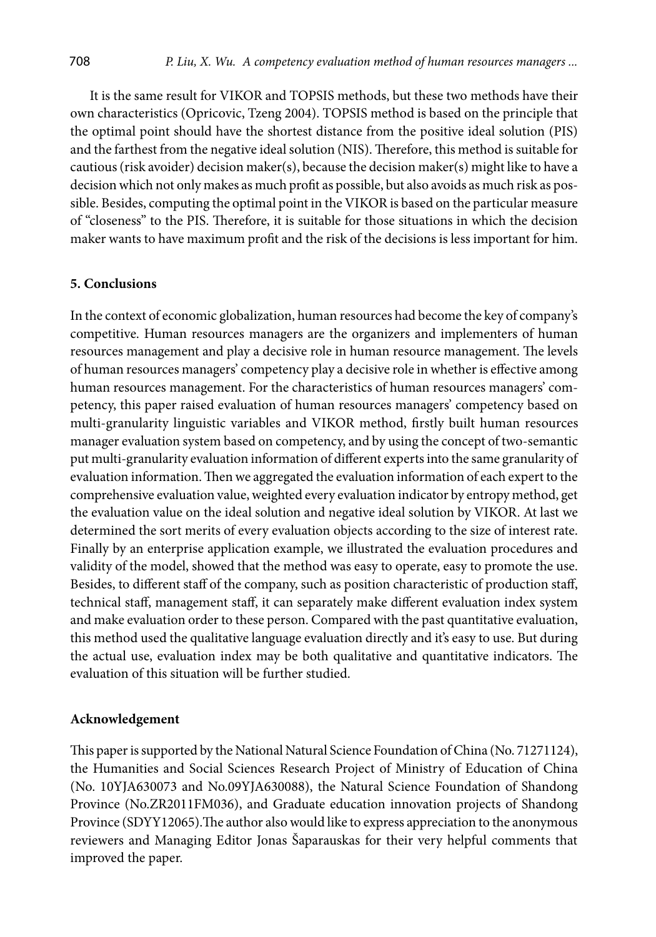It is the same result for VIKOR and TOPSIS methods, but these two methods have their own characteristics (Opricovic, Tzeng 2004). TOPSIS method is based on the principle that the optimal point should have the shortest distance from the positive ideal solution (PIS) and the farthest from the negative ideal solution (NIS). Therefore, this method is suitable for cautious (risk avoider) decision maker(s), because the decision maker(s) might like to have a decision which not only makes as much profit as possible, but also avoids as much risk as possible. Besides, computing the optimal point in the VIKOR is based on the particular measure of ''closeness" to the PIS. Therefore, it is suitable for those situations in which the decision maker wants to have maximum profit and the risk of the decisions is less important for him.

# **5. Conclusions**

In the context of economic globalization, human resources had become the key of company's competitive. Human resources managers are the organizers and implementers of human resources management and play a decisive role in human resource management. The levels of human resources managers' competency play a decisive role in whether is effective among human resources management. For the characteristics of human resources managers' competency, this paper raised evaluation of human resources managers' competency based on multi-granularity linguistic variables and VIKOR method, firstly built human resources manager evaluation system based on competency, and by using the concept of two-semantic put multi-granularity evaluation information of different experts into the same granularity of evaluation information. Then we aggregated the evaluation information of each expert to the comprehensive evaluation value, weighted every evaluation indicator by entropy method, get the evaluation value on the ideal solution and negative ideal solution by VIKOR. At last we determined the sort merits of every evaluation objects according to the size of interest rate. Finally by an enterprise application example, we illustrated the evaluation procedures and validity of the model, showed that the method was easy to operate, easy to promote the use. Besides, to different staff of the company, such as position characteristic of production staff, technical staff, management staff, it can separately make different evaluation index system and make evaluation order to these person. Compared with the past quantitative evaluation, this method used the qualitative language evaluation directly and it's easy to use. But during the actual use, evaluation index may be both qualitative and quantitative indicators. The evaluation of this situation will be further studied.

## **Acknowledgement**

This paper is supported by the National Natural Science Foundation of China (No. 71271124), the Humanities and Social Sciences Research Project of Ministry of Education of China (No. 10YJA630073 and No.09YJA630088), the Natural Science Foundation of Shandong Province (No.ZR2011FM036), and Graduate education innovation projects of Shandong Province (SDYY12065).The author also would like to express appreciation to the anonymous reviewers and Managing Editor Jonas Šaparauskas for their very helpful comments that improved the paper.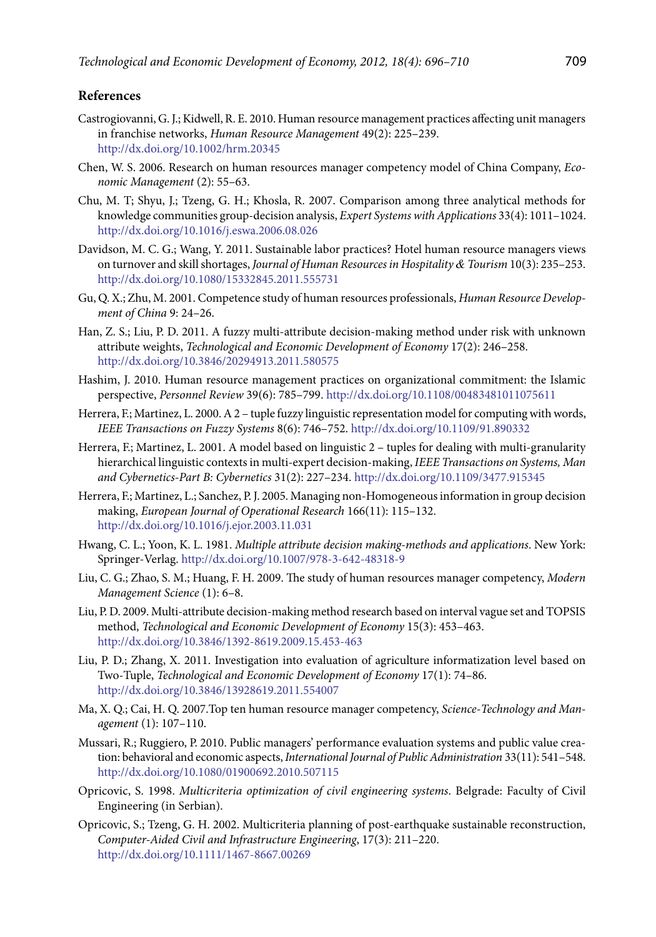#### **References**

- Castrogiovanni, G. J.; Kidwell, R. E. 2010. Human resource management practices affecting unit managers in franchise networks, *[Human Resource Management](file:///E:/LEIDYKLA/Zurnalai/Technological_TTED/TTED_18_4_2012/Tekstai/Mano/javascript:__doLinkPostBack()* 49(2): 225–239. <http://dx.doi.org/10.1002/hrm.20345>
- Chen, W. S. 2006. Research on human resources manager competency model of China Company, *Economic Management* (2): 55–63.
- Chu, M. T; Shyu, J.; Tzeng, G. H.; Khosla, R. 2007. Comparison among three analytical methods for knowledge communities group-decision analysis, *Expert Systems with Applications* 33(4): 1011–1024. <http://dx.doi.org/10.1016/j.eswa.2006.08.026>
- Davidson, M. C. G.; Wang, Y. 2011. Sustainable labor practices? Hotel human resource managers views on turnover and skill shortages, *[Journal of Human Resources in Hospitality](file:///E:/LEIDYKLA/Zurnalai/Technological_TTED/TTED_18_4_2012/Tekstai/Mano/javascript:__doLinkPostBack() & Tourism* 10(3): 235–253. <http://dx.doi.org/10.1080/15332845.2011.555731>
- Gu, Q. X.; Zhu, M. 2001. Competence study of human resources professionals, *Human Resource Development of China* 9: 24–26.
- Han, Z. S.; Liu, P. D. 2011. A fuzzy multi-attribute decision-making method under risk with unknown attribute weights, *Technological and Economic Development of Economy* 17(2): 246–258. <http://dx.doi.org/10.3846/20294913.2011.580575>
- Hashim, J. 2010. Human resource management practices on organizational commitment: the Islamic perspective, *Personnel Review* 39(6): 785–799. <http://dx.doi.org/10.1108/00483481011075611>
- Herrera, F.; Martinez, L. 2000. A 2 tuple fuzzy linguistic representation model for computing with words, *IEEE Transactions on Fuzzy Systems* 8(6): 746–752. <http://dx.doi.org/10.1109/91.890332>
- Herrera, F.; Martinez, L. 2001. A model based on linguistic 2 tuples for dealing with multi-granularity hierarchical linguistic contexts in multi-expert decision-making, *IEEE Transactions on Systems, Man and Cybernetics-Part B: Cybernetics* 31(2): 227–234.<http://dx.doi.org/10.1109/3477.915345>
- Herrera, F.; Martinez, L.; Sanchez, P. J. 2005. Managing non-Homogeneous information in group decision making, *European Journal of Operational Research* 166(11): 115–132. <http://dx.doi.org/10.1016/j.ejor.2003.11.031>
- Hwang, C. L.; Yoon, K. L. 1981. *Multiple attribute decision making-methods and applications*. New York: Springer-Verlag. <http://dx.doi.org/10.1007/978-3-642-48318-9>
- Liu, C. G.; Zhao, S. M.; Huang, F. H. 2009. The study of human resources manager competency, *Modern Management Science* (1): 6–8.
- Liu, P. D. 2009. Multi‐attribute decision-making method research based on interval vague set and TOPSIS method, *Technological and Economic Development of Economy* 15(3): 453–463. <http://dx.doi.org/10.3846/1392-8619.2009.15.453-463>
- Liu, P. D.; Zhang, X. 2011. Investigation into evaluation of agriculture informatization level based on Two-Tuple, *Technological and Economic Development of Economy* 17(1): 74–86. <http://dx.doi.org/10.3846/13928619.2011.554007>
- Ma, X. Q.; Cai, H. Q. 2007.Top ten human resource manager competency, *Science-Technology and Management* (1): 107–110.
- Mussari, R.; Ruggiero, P. 2010. Public managers' performance evaluation systems and public value creation: behavioral and economic aspects, *International Journal of Public Administration* 33(11): 541–548. <http://dx.doi.org/10.1080/01900692.2010.507115>
- Opricovic, S. 1998. *Multicriteria optimization of civil engineering systems*. Belgrade: Faculty of Civil Engineering (in Serbian).
- Opricovic, S.; Tzeng, G. H. 2002. Multicriteria planning of post-earthquake sustainable reconstruction, *Computer-Aided Civil and Infrastructure Engineering*, 17(3): 211–220. <http://dx.doi.org/10.1111/1467-8667.00269>